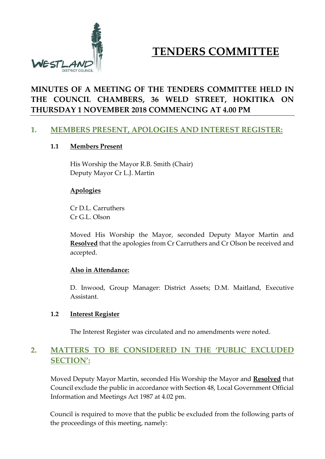

# **TENDERS COMMITTEE**

# **MINUTES OF A MEETING OF THE TENDERS COMMITTEE HELD IN THE COUNCIL CHAMBERS, 36 WELD STREET, HOKITIKA ON THURSDAY 1 NOVEMBER 2018 COMMENCING AT 4.00 PM**

## **1. MEMBERS PRESENT, APOLOGIES AND INTEREST REGISTER:**

#### **1.1 Members Present**

His Worship the Mayor R.B. Smith (Chair) Deputy Mayor Cr L.J. Martin

#### **Apologies**

Cr D.L. Carruthers Cr G.L. Olson

Moved His Worship the Mayor, seconded Deputy Mayor Martin and **Resolved** that the apologies from Cr Carruthers and Cr Olson be received and accepted.

#### **Also in Attendance:**

D. Inwood, Group Manager: District Assets; D.M. Maitland, Executive Assistant.

#### **1.2 Interest Register**

The Interest Register was circulated and no amendments were noted.

# **2. MATTERS TO BE CONSIDERED IN THE 'PUBLIC EXCLUDED SECTION':**

Moved Deputy Mayor Martin, seconded His Worship the Mayor and **Resolved** that Council exclude the public in accordance with Section 48, Local Government Official Information and Meetings Act 1987 at 4.02 pm.

Council is required to move that the public be excluded from the following parts of the proceedings of this meeting, namely: